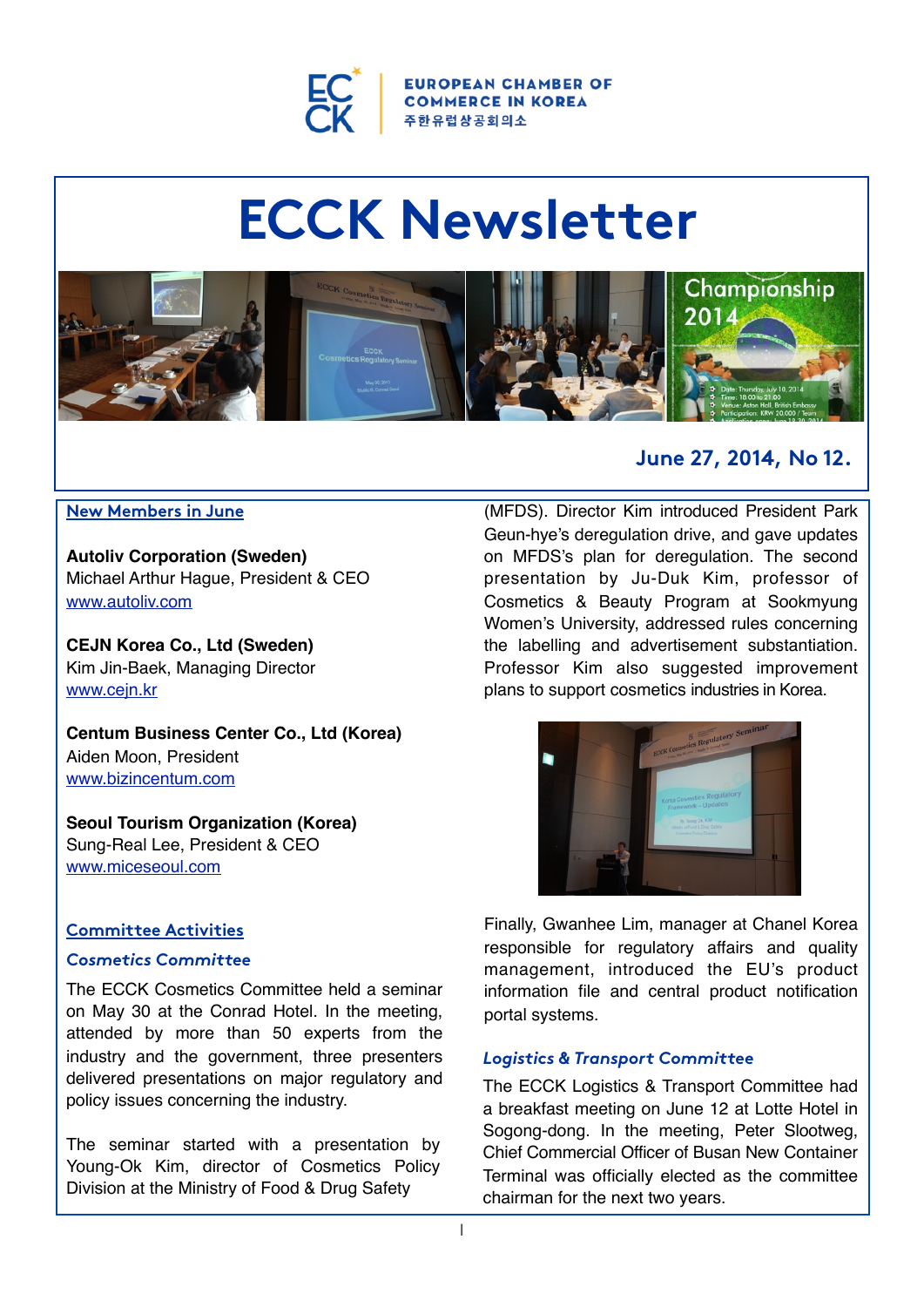

**OPEAN CHAMBER OF COMMERCE IN KOREA** 주 **한 유** 럽 상 공 회 의 소

# **ECCK Newsletter**



#### **New Members in June**

**Autoliv Corporation (Sweden)** Michael Arthur Hague, President & CEO [www.autoliv.com](http://www.autoliv.com/)

**CEJN Korea Co., Ltd (Sweden)** Kim Jin-Baek, Managing Director [www.cejn.kr](http://www.cejn.kr/)

**Centum Business Center Co., Ltd (Korea)** Aiden Moon, President [www.bizincentum.com](http://www.bizincentum.com/)

**Seoul Tourism Organization (Korea)** Sung-Real Lee, President & CEO [www.miceseoul.com](http://www.miceseoul.com/)

#### **Committee Activities**

## *Cosmetics Committee*

The ECCK Cosmetics Committee held a seminar on May 30 at the Conrad Hotel. In the meeting, attended by more than 50 experts from the industry and the government, three presenters delivered presentations on major regulatory and policy issues concerning the industry.

The seminar started with a presentation by Young-Ok Kim, director of Cosmetics Policy Division at the Ministry of Food & Drug Safety

# **June 27, 2014, No 12.**

(MFDS). Director Kim introduced President Park Geun-hye's deregulation drive, and gave updates on MFDS's plan for deregulation. The second presentation by Ju-Duk Kim, professor of Cosmetics & Beauty Program at Sookmyung Women's University, addressed rules concerning the labelling and advertisement substantiation. Professor Kim also suggested improvement plans to support cosmetics industries in Korea.



Finally, Gwanhee Lim, manager at Chanel Korea responsible for regulatory affairs and quality management, introduced the EU's product information file and central product notification portal systems.

#### *Logistics & Transport Committee*

The ECCK Logistics & Transport Committee had a breakfast meeting on June 12 at Lotte Hotel in Sogong-dong. In the meeting, Peter Slootweg, Chief Commercial Officer of Busan New Container Terminal was officially elected as the committee chairman for the next two years.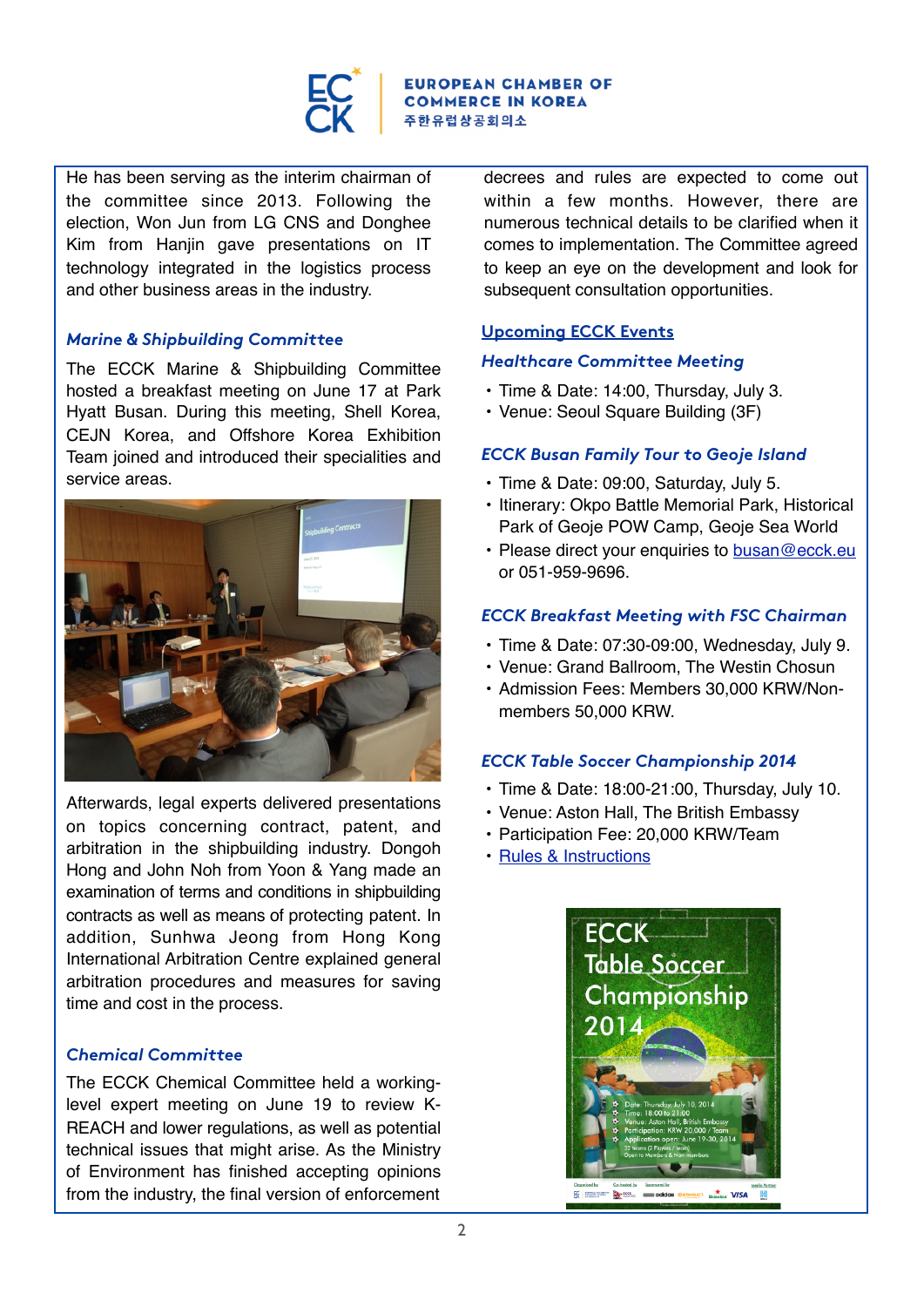

#### **ROPEAN CHAMBER OF COMMERCE IN KOREA** 주한유럽상공회의소

He has been serving as the interim chairman of the committee since 2013. Following the election, Won Jun from LG CNS and Donghee Kim from Hanjin gave presentations on IT technology integrated in the logistics process and other business areas in the industry.

#### *Marine & Shipbuilding Committee*

The ECCK Marine & Shipbuilding Committee hosted a breakfast meeting on June 17 at Park Hyatt Busan. During this meeting, Shell Korea, CEJN Korea, and Offshore Korea Exhibition Team joined and introduced their specialities and service areas.



Afterwards, legal experts delivered presentations on topics concerning contract, patent, and arbitration in the shipbuilding industry. Dongoh Hong and John Noh from Yoon & Yang made an examination of terms and conditions in shipbuilding contracts as well as means of protecting patent. In addition, Sunhwa Jeong from Hong Kong International Arbitration Centre explained general arbitration procedures and measures for saving time and cost in the process.

### *Chemical Committee*

The ECCK Chemical Committee held a workinglevel expert meeting on June 19 to review K-REACH and lower regulations, as well as potential technical issues that might arise. As the Ministry of Environment has finished accepting opinions from the industry, the final version of enforcement

decrees and rules are expected to come out within a few months. However, there are numerous technical details to be clarified when it comes to implementation. The Committee agreed to keep an eye on the development and look for subsequent consultation opportunities.

#### **Upcoming ECCK Events**

#### *Healthcare Committee Meeting*

- Time & Date: 14:00, Thursday, July 3.
- Venue: Seoul Square Building (3F)

#### *ECCK Busan Family Tour to Geoje Island*

- Time & Date: 09:00, Saturday, July 5.
- Itinerary: Okpo Battle Memorial Park, Historical Park of Geoje POW Camp, Geoje Sea World
- Please direct your enquiries to [busan@ecck.eu](mailto:busan@ecck.eu) or 051-959-9696.

#### *ECCK Breakfast Meeting with FSC Chairman*

- Time & Date: 07:30-09:00, Wednesday, July 9.
- Venue: Grand Ballroom, The Westin Chosun
- Admission Fees: Members 30,000 KRW/Nonmembers 50,000 KRW.

### *ECCK Table Soccer Championship 2014*

- Time & Date: 18:00-21:00, Thursday, July 10.
- Venue: Aston Hall, The British Embassy
- Participation Fee: 20,000 KRW/Team
- [Rules & Instructions](http://ecck.eu/nhc/bbs/board.php?bo_table=sub04_01&wr_id=123&sca=Upcoming+Events)